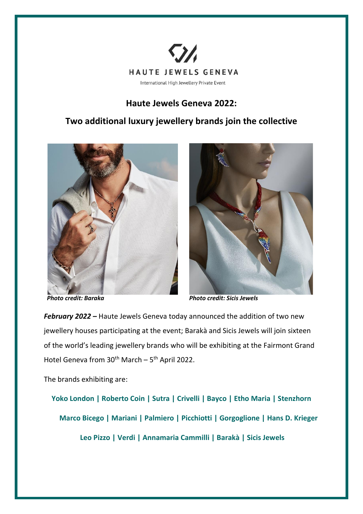

## **Haute Jewels Geneva 2022:**

## **Two additional luxury jewellery brands join the collective**





 *Photo credit: Baraka Photo credit: Sicis Jewels* 

*February 2022 –* Haute Jewels Geneva today announced the addition of two new jewellery houses participating at the event; Barakà and Sicis Jewels will join sixteen of the world's leading jewellery brands who will be exhibiting at the Fairmont Grand Hotel Geneva from  $30^{th}$  March –  $5^{th}$  April 2022.

The brands exhibiting are:

**Yoko London | Roberto Coin | Sutra | Crivelli | Bayco | Etho Maria | Stenzhorn Marco Bicego | Mariani | Palmiero | Picchiotti | Gorgoglione | Hans D. Krieger Leo Pizzo | Verdi | Annamaria Cammilli | Barakà | Sicis Jewels**